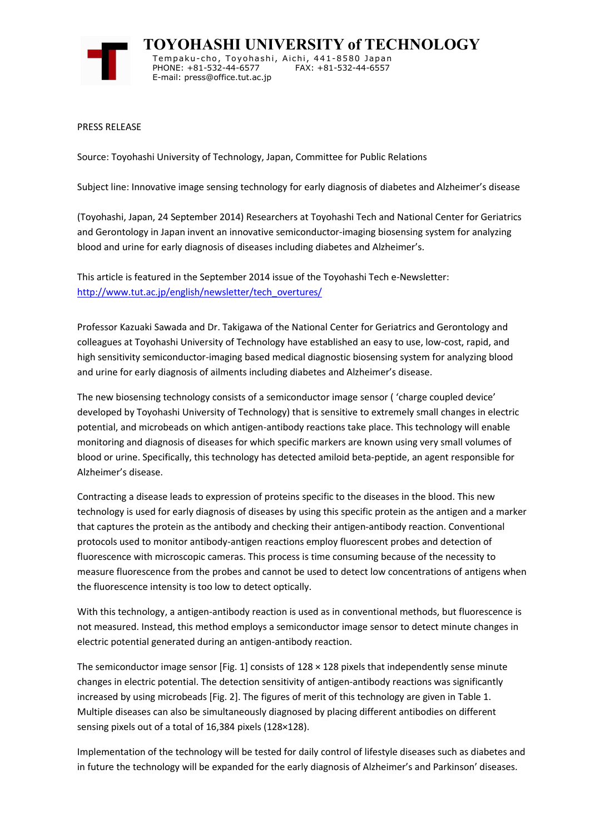

**TOYOHASHI UNIVERSITY of TECHNOLOGY** Tempaku-cho, Toyohashi, Aichi, 441-8580 Japan PHONE: +81-532-44-6577 FAX: +81-532-44-6557 E-mail: press@office.tut.ac.jp

PRESS RELEASE

Source: Toyohashi University of Technology, Japan, Committee for Public Relations

Subject line: Innovative image sensing technology for early diagnosis of diabetes and Alzheimer's disease

(Toyohashi, Japan, 24 September 2014) Researchers at Toyohashi Tech and National Center for Geriatrics and Gerontology in Japan invent an innovative semiconductor-imaging biosensing system for analyzing blood and urine for early diagnosis of diseases including diabetes and Alzheimer's.

This article is featured in the September 2014 issue of the Toyohashi Tech e-Newsletter: http://www.tut.ac.jp/english/newsletter/tech\_overtures/

Professor Kazuaki Sawada and Dr. Takigawa of the National Center for Geriatrics and Gerontology and colleagues at Toyohashi University of Technology have established an easy to use, low-cost, rapid, and high sensitivity semiconductor-imaging based medical diagnostic biosensing system for analyzing blood and urine for early diagnosis of ailments including diabetes and Alzheimer's disease.

The new biosensing technology consists of a semiconductor image sensor ( 'charge coupled device' developed by Toyohashi University of Technology) that is sensitive to extremely small changes in electric potential, and microbeads on which antigen-antibody reactions take place. This technology will enable monitoring and diagnosis of diseases for which specific markers are known using very small volumes of blood or urine. Specifically, this technology has detected amiloid beta-peptide, an agent responsible for Alzheimer's disease.

Contracting a disease leads to expression of proteins specific to the diseases in the blood. This new technology is used for early diagnosis of diseases by using this specific protein as the antigen and a marker that captures the protein as the antibody and checking their antigen-antibody reaction. Conventional protocols used to monitor antibody-antigen reactions employ fluorescent probes and detection of fluorescence with microscopic cameras. This process is time consuming because of the necessity to measure fluorescence from the probes and cannot be used to detect low concentrations of antigens when the fluorescence intensity is too low to detect optically.

With this technology, a antigen-antibody reaction is used as in conventional methods, but fluorescence is not measured. Instead, this method employs a semiconductor image sensor to detect minute changes in electric potential generated during an antigen-antibody reaction.

The semiconductor image sensor [Fig. 1] consists of  $128 \times 128$  pixels that independently sense minute changes in electric potential. The detection sensitivity of antigen-antibody reactions was significantly increased by using microbeads [Fig. 2]. The figures of merit of this technology are given in Table 1. Multiple diseases can also be simultaneously diagnosed by placing different antibodies on different sensing pixels out of a total of 16,384 pixels (128×128).

Implementation of the technology will be tested for daily control of lifestyle diseases such as diabetes and in future the technology will be expanded for the early diagnosis of Alzheimer's and Parkinson' diseases.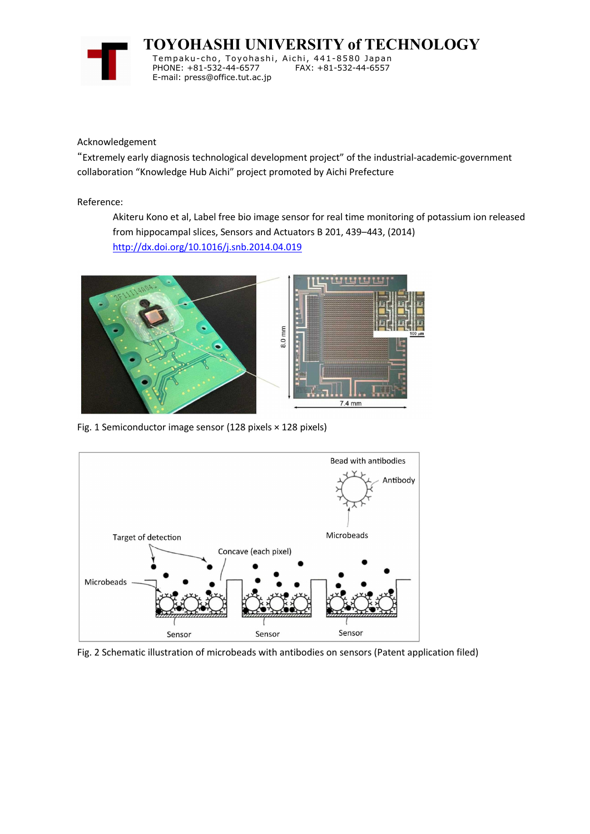

**TOYOHASHI UNIVERSITY of TECHNOLOGY**

Tempaku-cho, Toyohashi, Aichi, 441-8580 Japan PHONE: +81-532-44-6577 E-mail: press@office.tut.ac.jp

Acknowledgement

"Extremely early diagnosis technological development project" of the industrial-academic-government collaboration "Knowledge Hub Aichi" project promoted by Aichi Prefecture

Reference:

Akiteru Kono et al, Label free bio image sensor for real time monitoring of potassium ion released from hippocampal slices, Sensors and Actuators B 201, 439–443, (2014) http://dx.doi.org/10.1016/j.snb.2014.04.019



Fig. 1 Semiconductor image sensor (128 pixels × 128 pixels)



Fig. 2 Schematic illustration of microbeads with antibodies on sensors (Patent application filed)